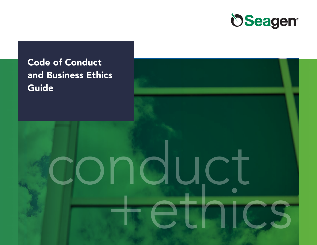

# Code of Conduct and Business Ethics **Guide**

# conduct +ethics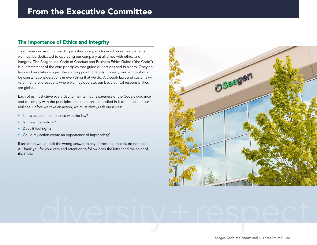#### The Importance of Ethics and Integrity

To achieve our vision of building a lasting company focused on serving patients, we must be dedicated to operating our company at all times with ethics and integrity. The Seagen Inc. Code of Conduct and Business Ethics Guide ("the Code") is our statement of the core principles that guide our actions and business. Obeying laws and regulations is just the starting point: integrity, honesty, and ethics should be constant considerations in everything that we do. Although laws and customs will vary in different locations where we may operate, our basic ethical responsibilities are global.

Each of us must strive every day to maintain our awareness of the Code's guidance and to comply with the principles and intentions embodied in it to the best of our abilities. Before we take an action, we must always ask ourselves:

- Is this action in compliance with the law?
- Is this action ethical?
- Does it feel right?
- Could my action create an appearance of impropriety?

If an action would elicit the wrong answer to any of these questions, do not take it. Thank you for your care and attention to follow both the letter and the spirit of the Code.



# diversity+respect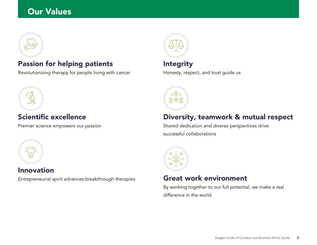# Our Values



# Passion for helping patients

Revolutionizing therapy for people living with cancer



# Scientific excellence

Premier science empowers our passion



### Innovation

Entrepreneurial spirit advances breakthrough therapies



# **Integrity**

Honesty, respect, and trust guide us



# Diversity, teamwork & mutual respect

Shared dedication and diverse perspectives drive successful collaborations



## Great work environment

By working together to our full potential, we make a real difference in the world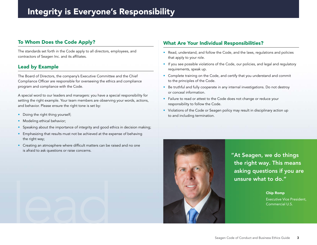#### To Whom Does the Code Apply?

The standards set forth in the Code apply to all directors, employees, and contractors of Seagen Inc. and its affiliates.

#### Lead by Example

The Board of Directors, the company's Executive Committee and the Chief Compliance Officer are responsible for overseeing the ethics and compliance program and compliance with the Code.

A special word to our leaders and managers: you have a special responsibility for setting the right example. Your team members are observing your words, actions, and behavior. Please ensure the right tone is set by:

- Doing the right thing yourself;
- Modeling ethical behavior;
- Speaking about the importance of integrity and good ethics in decision making;
- Emphasizing that results must not be achieved at the expense of behaving the right way;
- Creating an atmosphere where difficult matters can be raised and no one is afraid to ask questions or raise concerns.

#### What Are Your Individual Responsibilities?

- Read, understand, and follow the Code, and the laws, regulations and policies that apply to your role.
- If you see possible violations of the Code, our policies, and legal and regulatory requirements, speak up.
- Complete training on the Code, and certify that you understand and commit to the principles of the Code.
- Be truthful and fully cooperate in any internal investigations. Do not destroy or conceal information.
- Failure to read or attest to the Code does not change or reduce your responsibility to follow the Code.
- Violations of the Code or Seagen policy may result in disciplinary action up to and including termination.



"At Seagen, we do things the right way. This means asking questions if you are unsure what to do."

Chip Romp

Executive Vice President,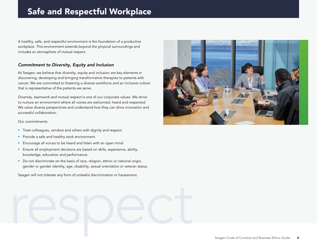# Safe and Respectful Workplace

A healthy, safe, and respectful environment is the foundation of a productive workplace. This environment extends beyond the physical surroundings and includes an atmosphere of mutual respect.

#### *Commitment to Diversity, Equity and Inclusion*

At Seagen, we believe that diversity, equity and inclusion are key elements in discovering, developing and bringing transformative therapies to patients with cancer. We are committed to fostering a diverse workforce and an inclusive culture that is representative of the patients we serve.

*Diversity, teamwork and mutual respect* is one of our corporate values. We strive to nurture an environment where all voices are welcomed, heard and respected. We value diverse perspectives and understand how they can drive innovation and successful collaboration.

#### Our commitments:

- Treat colleagues, vendors and others with dignity and respect.
- Provide a safe and healthy work environment.
- Encourage all voices to be heard and listen with an open mind.
- Ensure all employment decisions are based on skills, experience, ability, knowledge, education and performance.
- Do not discriminate on the basis of race, religion, ethnic or national origin, gender or gender identity, age, disability, sexual orientation or veteran status.

respect Seagen will not tolerate any form of unlawful discrimination or harassment.

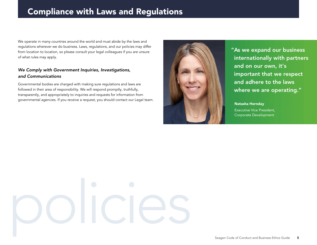# Compliance with Laws and Regulations

We operate in many countries around the world and must abide by the laws and regulations wherever we do business. Laws, regulations, and our policies may differ from location to location, so please consult your legal colleagues if you are unsure of what rules may apply.

#### *We Comply with Government Inquiries, Investigations, and Communications*

Governmental bodies are charged with making sure regulations and laws are followed in their area of responsibility. We will respond promptly, truthfully, transparently, and appropriately to inquiries and requests for information from governmental agencies. If you receive a request, you should contact our Legal team.



"As we expand our business internationally with partners and on our own, it's important that we respect and adhere to the laws where we are operating."

Natasha Hernday

Executive Vice President, Corporate Development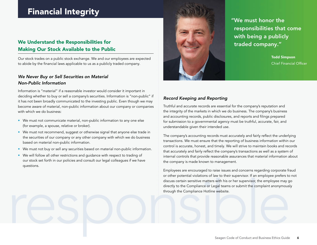# Financial Integrity

#### We Understand the Responsibilities for Making Our Stock Available to the Public

Our stock trades on a public stock exchange. We and our employees are expected to abide by the financial laws applicable to us as a publicly traded company.

#### *We Never Buy or Sell Securities on Material Non-Public Information*

Information is "material" if a reasonable investor would consider it important in deciding whether to buy or sell a company's securities. Information is "non-public" if it has not been broadly communicated to the investing public. Even though we may become aware of material, non-public information about our company or companies with which we do business:

- We must not communicate material, non-public information to any one else (for example, a spouse, relative or broker).
- We must not recommend, suggest or otherwise signal that anyone else trade in the securities of our company or any other company with which we do business based on material non-public information.
- We must not buy or sell any securities based on material non-public information.
- We will follow all other restrictions and guidance with respect to trading of our stock set forth in our policies and consult our legal colleagues if we have questions.



"We must honor the responsibilities that come with being a publicly traded company."

> Todd Simpson Chief Financial Officer

#### *Record Keeping and Reporting*

Truthful and accurate records are essential for the company's reputation and the integrity of the markets in which we do business. The company's business and accounting records, public disclosures, and reports and filings prepared for submission to a governmental agency must be truthful, accurate, fair, and understandable given their intended use.

The company's accounting records must accurately and fairly reflect the underlying transactions. We must ensure that the reporting of business information within our control is accurate, honest, and timely. We will strive to maintain books and records that accurately and fairly reflect the company's transactions as well as a system of internal controls that provide reasonable assurances that material information about the company is made known to management.

since personal values certain sensitive matters with his or her supervisor, the employee places of the supervisor, the employee may go<br>directly to the Compliance or Legal teams or submit the complaint anonymously<br>through t Employees are encouraged to raise issues and concerns regarding corporate fraud or other potential violations of law to their supervisor. If an employee prefers to not discuss certain sensitive matters with his or her supervisor, the employee may go directly to the Compliance or Legal teams or submit the complaint anonymously through the Compliance Hotline website.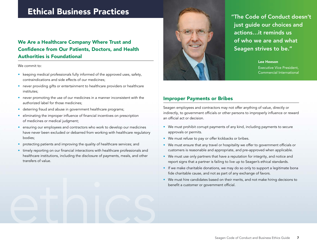# Ethical Business Practices

#### We Are a Healthcare Company Where Trust and Confidence from Our Patients, Doctors, and Health Authorities is Foundational

We commit to:

- keeping medical professionals fully informed of the approved uses, safety, contraindications and side effects of our medicines;
- never providing gifts or entertainment to healthcare providers or healthcare institutes;
- never promoting the use of our medicines in a manner inconsistent with the authorized label for those medicines;
- deterring fraud and abuse in government healthcare programs;
- eliminating the improper influence of financial incentives on prescription of medicines or medical judgment;
- ensuring our employees and contractors who work to develop our medicines have never been excluded or debarred from working with healthcare regulatory bodies;
- protecting patients and improving the quality of healthcare services; and
- timely reporting on our financial interactions with healthcare professionals and healthcare institutions, including the disclosure of payments, meals, and other transfers of value.

ethics



"The Code of Conduct doesn't just guide our choices and actions…it reminds us of who we are and what Seagen strives to be."

> Lee Heeson Executive Vice President, Commercial International

#### Improper Payments or Bribes

Seagen employees and contractors may not offer anything of value, directly or indirectly, to government officials or other persons to improperly influence or reward an official act or decision.

- We must prohibit corrupt payments of any kind, including payments to secure approvals or permits.
- We must refuse to pay or offer kickbacks or bribes.
- We must ensure that any travel or hospitality we offer to government officials or customers is reasonable and appropriate, and pre-approved when applicable.
- We must use only partners that have a reputation for integrity, and notice and report signs that a partner is failing to live up to Seagen's ethical standards.
- If we make charitable donations, we may do so only to support a legitimate bona fide charitable cause, and not as part of any exchange of favors.
- We must hire candidates based on their merits, and not make hiring decisions to benefit a customer or government official.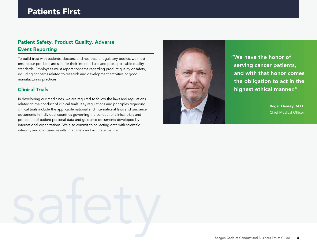# Patients First

#### Patient Safety, Product Quality, Adverse Event Reporting

To build trust with patients, doctors, and healthcare regulatory bodies, we must ensure our products are safe for their intended use and pass applicable quality standards. Employees must report concerns regarding product quality or safety, including concerns related to research and development activities or good manufacturing practices.

#### Clinical Trials

In developing our medicines, we are required to follow the laws and regulations related to the conduct of clinical trials. Key regulations and principles regarding clinical trials include the applicable national and international laws and guidance documents in individual countries governing the conduct of clinical trials and protection of patient personal data and guidance documents developed by international organizations. We also commit to collecting data with scientific integrity and disclosing results in a timely and accurate manner.



"We have the honor of serving cancer patients, and with that honor comes the obligation to act in the highest ethical manner."

> Roger Dansey, M.D. Chief Medical Officer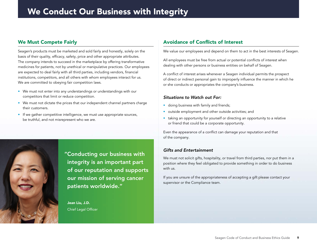#### We Must Compete Fairly

Seagen's products must be marketed and sold fairly and honestly, solely on the basis of their quality, efficacy, safety, price and other appropriate attributes. The company intends to succeed in the marketplace by offering transformative medicines for patients, not by unethical or manipulative practices. Our employees are expected to deal fairly with all third parties, including vendors, financial institutions, competitors, and all others with whom employees interact for us. We are committed to obeying fair competition laws.

- We must not enter into any understandings or understandings with our competitors that limit or reduce competition.
- We must not dictate the prices that our independent channel partners charge their customers.
- If we gather competitive intelligence, we must use appropriate sources, be truthful, and not misrepresent who we are.



#### Jean Liu, J.D. Chief Legal Officer

#### Avoidance of Conflicts of Interest

We value our employees and depend on them to act in the best interests of Seagen.

All employees must be free from actual or potential conflicts of interest when dealing with other persons or business entities on behalf of Seagen.

A conflict of interest arises whenever a Seagen individual permits the prospect of direct or indirect personal gain to improperly influence the manner in which he or she conducts or appropriates the company's business.

#### *Situations to Watch out For:*

- doing business with family and friends;
- outside employment and other outside activities; and
- taking an opportunity for yourself or directing an opportunity to a relative or friend that could be a corporate opportunity.

Even the appearance of a conflict can damage your reputation and that of the company.

#### *Gifts and Entertainment*

We must not solicit gifts, hospitality, or travel from third parties, nor put them in a position where they feel obligated to provide something in order to do business with us.

If you are unsure of the appropriateness of accepting a gift please contact your supervisor or the Compliance team.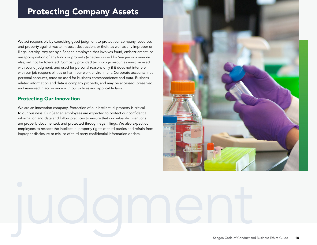# Protecting Company Assets

We act responsibly by exercising good judgment to protect our company resources and property against waste, misuse, destruction, or theft, as well as any improper or illegal activity. Any act by a Seagen employee that involves fraud, embezzlement, or misappropriation of any funds or property (whether owned by Seagen or someone else) will not be tolerated. Company provided technology resources must be used with sound judgment, and used for personal reasons only if it does not interfere with our job responsibilities or harm our work environment. Corporate accounts, not personal accounts, must be used for business correspondence and data. Businessrelated information and data is company property, and may be accessed, preserved, and reviewed in accordance with our polices and applicable laws.

#### Protecting Our Innovation

We are an innovation company. Protection of our intellectual property is critical to our business. Our Seagen employees are expected to protect our confidential information and data and follow practices to ensure that our valuable inventions are properly documented, and protected through legal filings. We also expect our employees to respect the intellectual property rights of third parties and refrain from improper disclosure or misuse of third party confidential information or data.

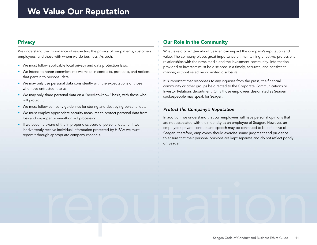#### **Privacy**

We understand the importance of respecting the privacy of our patients, customers, employees, and those with whom we do business. As such:

- We must follow applicable local privacy and data protection laws.
- We intend to honor commitments we make in contracts, protocols, and notices that pertain to personal data.
- We may only use personal data consistently with the expectations of those who have entrusted it to us.
- We may only share personal data on a "need-to-know" basis, with those who will protect it.
- We must follow company guidelines for storing and destroying personal data.
- We must employ appropriate security measures to protect personal data from loss and improper or unauthorized processing.
- If we become aware of the improper disclosure of personal data, or if we inadvertently receive individual information protected by HIPAA we must report it through appropriate company channels.

#### Our Role in the Community

What is said or written about Seagen can impact the company's reputation and value. The company places great importance on maintaining effective, professional relationships with the news media and the investment community. Information provided to investors must be disclosed in a timely, accurate, and consistent manner, without selective or limited disclosure.

It is important that responses to any inquiries from the press, the financial community or other groups be directed to the Corporate Communications or Investor Relations department. Only those employees designated as Seagen spokespeople may speak for Seagen.

#### *Protect the Company's Reputation*

reputation

In addition, we understand that our employees will have personal opinions that are not associated with their identity as an employee of Seagen. However, an employee's private conduct and speech may be construed to be reflective of Seagen, therefore, employees should exercise sound judgment and prudence to ensure that their personal opinions are kept separate and do not reflect poorly on Seagen.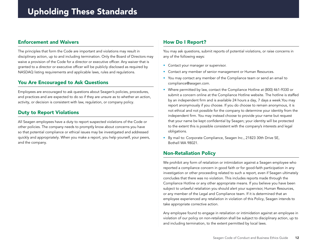#### Enforcement and Waivers

The principles that form the Code are important and violations may result in disciplinary action, up to and including termination. Only the Board of Directors may waive a provision of the Code for a director or executive officer. Any waiver that is granted to a director or executive officer will be publicly disclosed as required by NASDAQ listing requirements and applicable laws, rules and regulations.

#### You Are Encouraged to Ask Questions

Employees are encouraged to ask questions about Seagen's policies, procedures, and practices and are expected to do so if they are unsure as to whether an action, activity, or decision is consistent with law, regulation, or company policy.

#### Duty to Report Violations

All Seagen employees have a duty to report suspected violations of the Code or other policies. The company needs to promptly know about concerns you have so that potential compliance or ethical issues may be investigated and addressed quickly and appropriately. When you make a report, you help yourself, your peers, and the company.

#### How Do I Report?

You may ask questions, submit reports of potential violations, or raise concerns in any of the following ways:

- Contact your manager or supervisor.
- Contact any member of senior management or Human Resources.
- You may contact any member of the Compliance team or send an email to compliance@seagen.com.
- Where permitted by law, contact the Compliance Hotline at (800) 461-9330 or submit a concern online at the Compliance Hotline website. The hotline is staffed by an independent firm and is available 24 hours a day, 7 days a week.You may report anonymously if you choose. If you do choose to remain anonymous, it is not ethical and not possible for the company to determine your identity from the independent firm. You may instead choose to provide your name but request that your name be kept confidential by Seagen; your identity will be protected to the extent this is possible consistent with the company's interests and legal obligations.
- By mail to: Corporate Compliance, Seagen Inc., 21823 30th Drive SE, Bothell WA 98021.

#### Non-Retaliation Policy

We prohibit any form of retaliation or intimidation against a Seagen employee who reported a compliance concern in good faith or for good-faith participation in any investigation or other proceeding related to such a report, even if Seagen ultimately concludes that there was no violation. This includes reports made through the Compliance Hotline or any other appropriate means. If you believe you have been subject to unlawful retaliation you should alert your supervisor, Human Resources, or any member of the Legal and Compliance team. If it is determined that an employee experienced any retaliation in violation of this Policy, Seagen intends to take appropriate corrective action.

Any employee found to engage in retaliation or intimidation against an employee in violation of our policy on non-retaliation shall be subject to disciplinary action, up to and including termination, to the extent permitted by local laws.